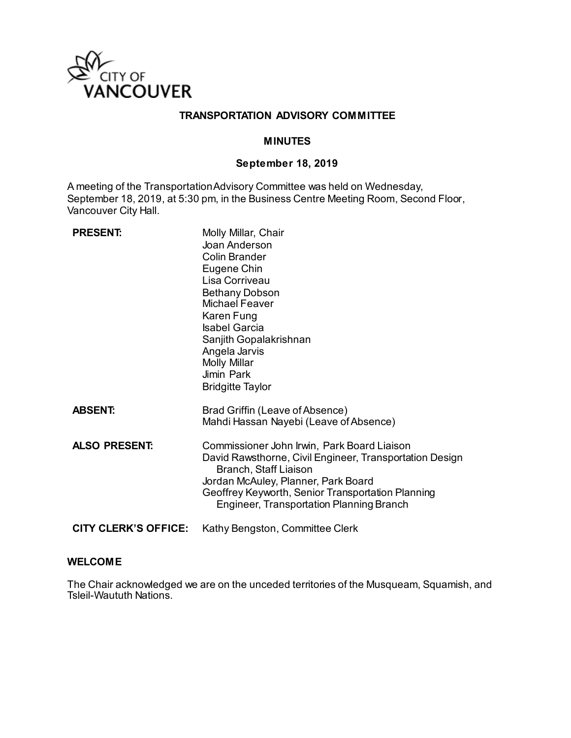

## **TRANSPORTATION ADVISORY COMMITTEE**

## **MINUTES**

## **September 18, 2019**

A meeting of the Transportation Advisory Committee was held on Wednesday, September 18, 2019, at 5:30 pm, in the Business Centre Meeting Room, Second Floor, Vancouver City Hall.

| <b>PRESENT:</b>      | Molly Millar, Chair<br>Joan Anderson<br><b>Colin Brander</b><br>Eugene Chin<br>Lisa Corriveau<br><b>Bethany Dobson</b><br><b>Michael Feaver</b><br>Karen Fung<br><b>Isabel Garcia</b><br>Sanjith Gopalakrishnan<br>Angela Jarvis<br><b>Molly Millar</b><br>Jimin Park<br><b>Bridgitte Taylor</b> |
|----------------------|--------------------------------------------------------------------------------------------------------------------------------------------------------------------------------------------------------------------------------------------------------------------------------------------------|
| <b>ABSENT:</b>       | Brad Griffin (Leave of Absence)<br>Mahdi Hassan Nayebi (Leave of Absence)                                                                                                                                                                                                                        |
| <b>ALSO PRESENT:</b> | Commissioner John Irwin, Park Board Liaison<br>David Rawsthorne, Civil Engineer, Transportation Design<br>Branch, Staff Liaison<br>Jordan McAuley, Planner, Park Board<br>Geoffrey Keyworth, Senior Transportation Planning<br>Engineer, Transportation Planning Branch                          |
| CITY CLERK'S OFFICE: | Kathy Bengston, Committee Clerk                                                                                                                                                                                                                                                                  |

#### **WELCOME**

The Chair acknowledged we are on the unceded territories of the Musqueam, Squamish, and Tsleil-Waututh Nations.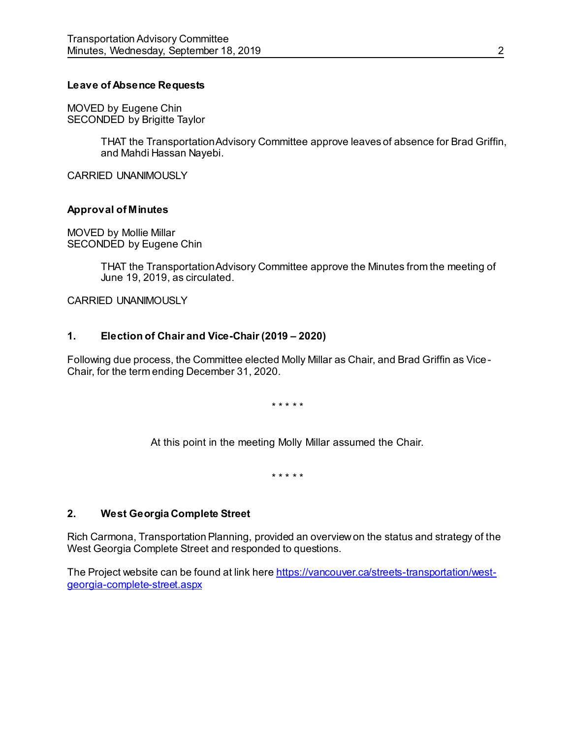## **Leave of Absence Requests**

MOVED by Eugene Chin SECONDED by Brigitte Taylor

> THAT the Transportation Advisory Committee approve leaves of absence for Brad Griffin, and Mahdi Hassan Nayebi.

CARRIED UNANIMOUSLY

## **Approval of Minutes**

MOVED by Mollie Millar SECONDED by Eugene Chin

> THAT the Transportation Advisory Committee approve the Minutes from the meeting of June 19, 2019, as circulated.

CARRIED UNANIMOUSLY

## **1. Election of Chair and Vice-Chair (2019 – 2020)**

Following due process, the Committee elected Molly Millar as Chair, and Brad Griffin as Vice-Chair, for the term ending December 31, 2020.

\* \* \* \* \*

At this point in the meeting Molly Millar assumed the Chair.

\* \* \* \* \*

## **2. West Georgia Complete Street**

Rich Carmona, Transportation Planning, provided an overview on the status and strategy of the West Georgia Complete Street and responded to questions.

The Project website can be found at link her[e https://vancouver.ca/streets-transportation/west](https://vancouver.ca/streets-transportation/west-georgia-complete-street.aspx)[georgia-complete-street.aspx](https://vancouver.ca/streets-transportation/west-georgia-complete-street.aspx)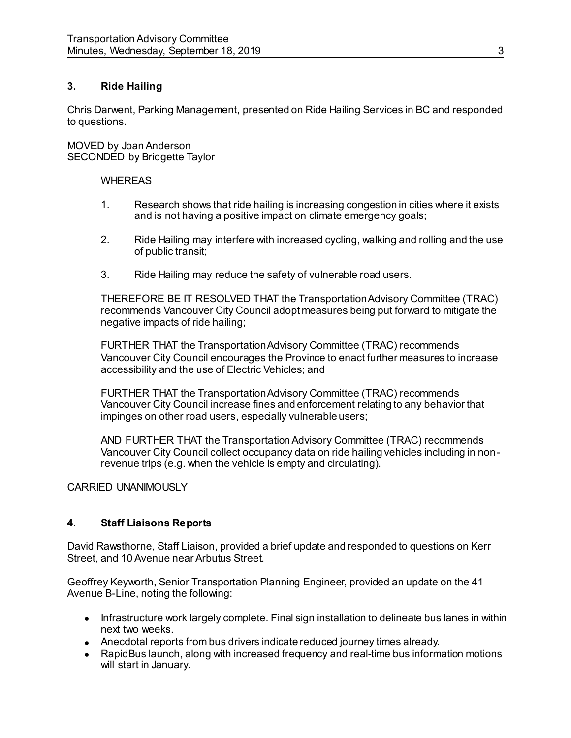## **3. Ride Hailing**

Chris Darwent, Parking Management, presented on Ride Hailing Services in BC and responded to questions.

MOVED by Joan Anderson SECONDED by Bridgette Taylor

## **WHEREAS**

- 1. Research shows that ride hailing is increasing congestion in cities where it exists and is not having a positive impact on climate emergency goals;
- 2. Ride Hailing may interfere with increased cycling, walking and rolling and the use of public transit;
- 3. Ride Hailing may reduce the safety of vulnerable road users.

THEREFORE BE IT RESOLVED THAT the Transportation Advisory Committee (TRAC) recommends Vancouver City Council adopt measures being put forward to mitigate the negative impacts of ride hailing;

FURTHER THAT the Transportation Advisory Committee (TRAC) recommends Vancouver City Council encourages the Province to enact further measures to increase accessibility and the use of Electric Vehicles; and

FURTHER THAT the Transportation Advisory Committee (TRAC) recommends Vancouver City Council increase fines and enforcement relating to any behavior that impinges on other road users, especially vulnerable users;

AND FURTHER THAT the Transportation Advisory Committee (TRAC) recommends Vancouver City Council collect occupancy data on ride hailing vehicles including in nonrevenue trips (e.g. when the vehicle is empty and circulating).

## CARRIED UNANIMOUSLY

## **4. Staff Liaisons Reports**

David Rawsthorne, Staff Liaison, provided a brief update and responded to questions on Kerr Street, and 10 Avenue near Arbutus Street.

Geoffrey Keyworth, Senior Transportation Planning Engineer, provided an update on the 41 Avenue B-Line, noting the following:

- Infrastructure work largely complete. Final sign installation to delineate bus lanes in within next two weeks.
- Anecdotal reports from bus drivers indicate reduced journey times already.
- RapidBus launch, along with increased frequency and real-time bus information motions will start in January.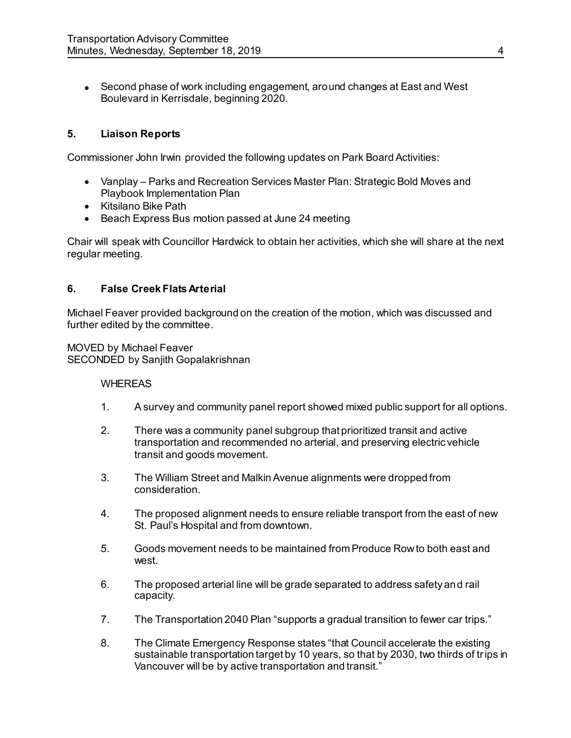Second phase of work including engagement, around changes at East and West Boulevard in Kerrisdale, beginning 2020.

# **5. Liaison Reports**

Commissioner John Irwin provided the following updates on Park Board Activities:

- Vanplay Parks and Recreation Services Master Plan: Strategic Bold Moves and Playbook Implementation Plan
- Kitsilano Bike Path
- Beach Express Bus motion passed at June 24 meeting

Chair will speak with Councillor Hardwick to obtain her activities, which she will share at the next regular meeting.

## **6. False Creek Flats Arterial**

Michael Feaver provided background on the creation of the motion, which was discussed and further edited by the committee.

MOVED by Michael Feaver SECONDED by Sanjith Gopalakrishnan

## **WHEREAS**

- 1. A survey and community panel report showed mixed public support for all options.
- 2. There was a community panel subgroup that prioritized transit and active transportation and recommended no arterial, and preserving electric vehicle transit and goods movement.
- 3. The William Street and Malkin Avenue alignments were dropped from consideration.
- 4. The proposed alignment needs to ensure reliable transport from the east of new St. Paul's Hospital and from downtown.
- 5. Goods movement needs to be maintained from Produce Row to both east and west.
- 6. The proposed arterial line will be grade separated to address safety and rail capacity.
- 7. The Transportation 2040 Plan "supports a gradual transition to fewer car trips."
- 8. The Climate Emergency Response states "that Council accelerate the existing sustainable transportation target by 10 years, so that by 2030, two thirds of trips in Vancouver will be by active transportation and transit."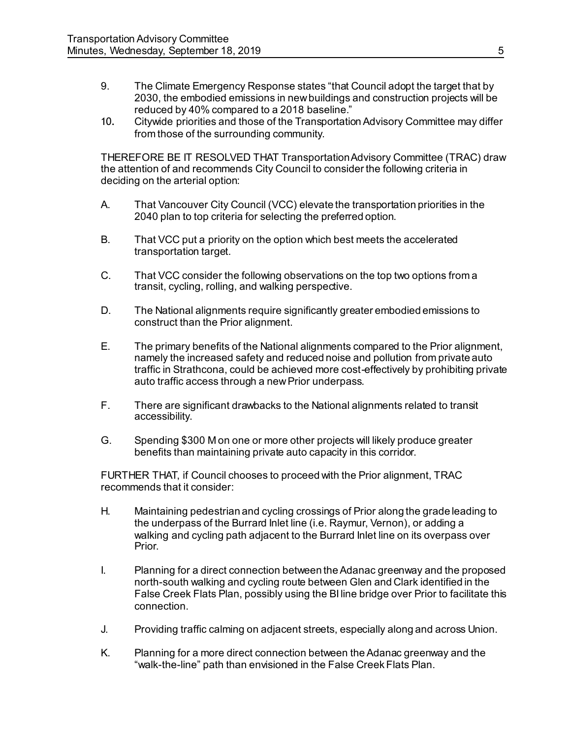- 9. The Climate Emergency Response states "that Council adopt the target that by 2030, the embodied emissions in new buildings and construction projects will be reduced by 40% compared to a 2018 baseline."
- 10. Citywide priorities and those of the Transportation Advisory Committee may differ from those of the surrounding community.

THEREFORE BE IT RESOLVED THAT Transportation Advisory Committee (TRAC) draw the attention of and recommends City Council to consider the following criteria in deciding on the arterial option:

- A. That Vancouver City Council (VCC) elevate the transportation priorities in the 2040 plan to top criteria for selecting the preferred option.
- B. That VCC put a priority on the option which best meets the accelerated transportation target.
- C. That VCC consider the following observations on the top two options from a transit, cycling, rolling, and walking perspective.
- D. The National alignments require significantly greater embodied emissions to construct than the Prior alignment.
- E. The primary benefits of the National alignments compared to the Prior alignment, namely the increased safety and reduced noise and pollution from private auto traffic in Strathcona, could be achieved more cost-effectively by prohibiting private auto traffic access through a new Prior underpass.
- F. There are significant drawbacks to the National alignments related to transit accessibility.
- G. Spending \$300 M on one or more other projects will likely produce greater benefits than maintaining private auto capacity in this corridor.

FURTHER THAT, if Council chooses to proceed with the Prior alignment, TRAC recommends that it consider:

- H. Maintaining pedestrian and cycling crossings of Prior along the grade leading to the underpass of the Burrard Inlet line (i.e. Raymur, Vernon), or adding a walking and cycling path adjacent to the Burrard Inlet line on its overpass over Prior.
- I. Planning for a direct connection between the Adanac greenway and the proposed north-south walking and cycling route between Glen and Clark identified in the False Creek Flats Plan, possibly using the BI line bridge over Prior to facilitate this connection.
- J. Providing traffic calming on adjacent streets, especially along and across Union.
- K. Planning for a more direct connection between the Adanac greenway and the "walk-the-line" path than envisioned in the False Creek Flats Plan.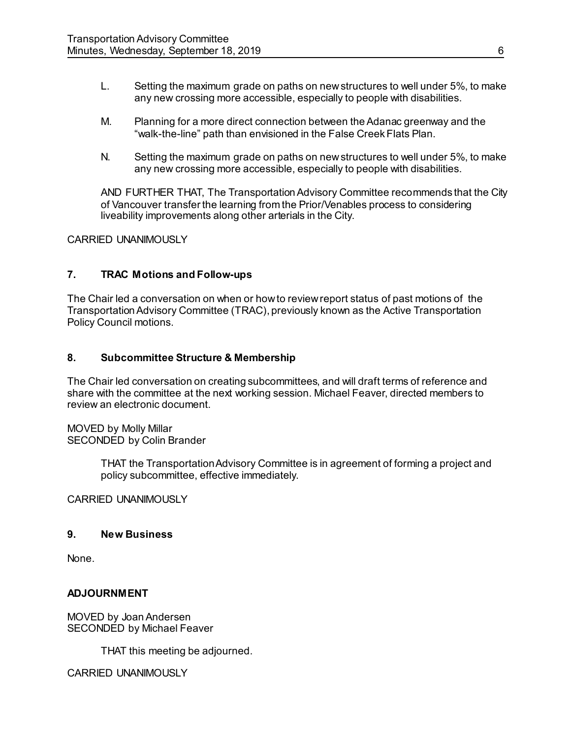- L. Setting the maximum grade on paths on new structures to well under 5%, to make any new crossing more accessible, especially to people with disabilities.
- M. Planning for a more direct connection between the Adanac greenway and the "walk-the-line" path than envisioned in the False Creek Flats Plan.
- N. Setting the maximum grade on paths on new structures to well under 5%, to make any new crossing more accessible, especially to people with disabilities.

AND FURTHER THAT, The Transportation Advisory Committee recommends that the City of Vancouver transfer the learning from the Prior/Venables process to considering liveability improvements along other arterials in the City.

## CARRIED UNANIMOUSLY

## **7. TRAC Motions and Follow-ups**

The Chair led a conversation on when or how to review report status of past motions of the Transportation Advisory Committee (TRAC), previously known as the Active Transportation Policy Council motions.

## **8. Subcommittee Structure & Membership**

The Chair led conversation on creating subcommittees, and will draft terms of reference and share with the committee at the next working session. Michael Feaver, directed members to review an electronic document.

MOVED by Molly Millar SECONDED by Colin Brander

> THAT the Transportation Advisory Committee is in agreement of forming a project and policy subcommittee, effective immediately.

CARRIED UNANIMOUSLY

#### **9. New Business**

None.

#### **ADJOURNMENT**

MOVED by JoanAndersen SECONDED by Michael Feaver

THAT this meeting be adjourned.

CARRIED UNANIMOUSLY